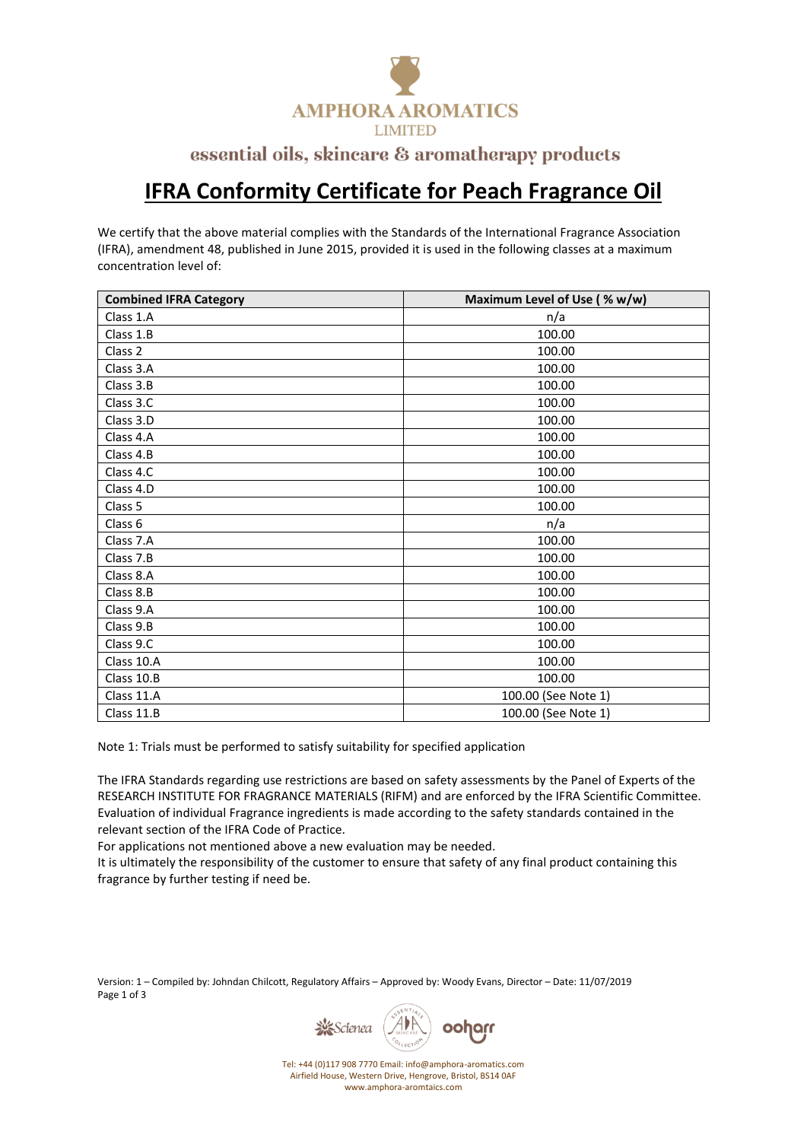

## essential oils, skincare & aromatherapy products

## **IFRA Conformity Certificate for Peach Fragrance Oil**

We certify that the above material complies with the Standards of the International Fragrance Association (IFRA), amendment 48, published in June 2015, provided it is used in the following classes at a maximum concentration level of:

| <b>Combined IFRA Category</b> | Maximum Level of Use (% w/w) |
|-------------------------------|------------------------------|
| Class 1.A                     | n/a                          |
| Class 1.B                     | 100.00                       |
| Class 2                       | 100.00                       |
| Class 3.A                     | 100.00                       |
| Class 3.B                     | 100.00                       |
| Class 3.C                     | 100.00                       |
| Class 3.D                     | 100.00                       |
| Class 4.A                     | 100.00                       |
| Class 4.B                     | 100.00                       |
| Class 4.C                     | 100.00                       |
| Class 4.D                     | 100.00                       |
| Class 5                       | 100.00                       |
| Class <sub>6</sub>            | n/a                          |
| Class 7.A                     | 100.00                       |
| Class 7.B                     | 100.00                       |
| Class 8.A                     | 100.00                       |
| Class 8.B                     | 100.00                       |
| Class 9.A                     | 100.00                       |
| Class 9.B                     | 100.00                       |
| Class 9.C                     | 100.00                       |
| Class 10.A                    | 100.00                       |
| Class 10.B                    | 100.00                       |
| Class 11.A                    | 100.00 (See Note 1)          |
| Class 11.B                    | 100.00 (See Note 1)          |

Note 1: Trials must be performed to satisfy suitability for specified application

The IFRA Standards regarding use restrictions are based on safety assessments by the Panel of Experts of the RESEARCH INSTITUTE FOR FRAGRANCE MATERIALS (RIFM) and are enforced by the IFRA Scientific Committee. Evaluation of individual Fragrance ingredients is made according to the safety standards contained in the relevant section of the IFRA Code of Practice.

For applications not mentioned above a new evaluation may be needed.

It is ultimately the responsibility of the customer to ensure that safety of any final product containing this fragrance by further testing if need be.

Version: 1 – Compiled by: Johndan Chilcott, Regulatory Affairs – Approved by: Woody Evans, Director – Date: 11/07/2019 Page 1 of 3



Tel: +44 (0)117 908 7770 Email: info@amphora-aromatics.com Airfield House, Western Drive, Hengrove, Bristol, BS14 0AF www.amphora-aromtaics.com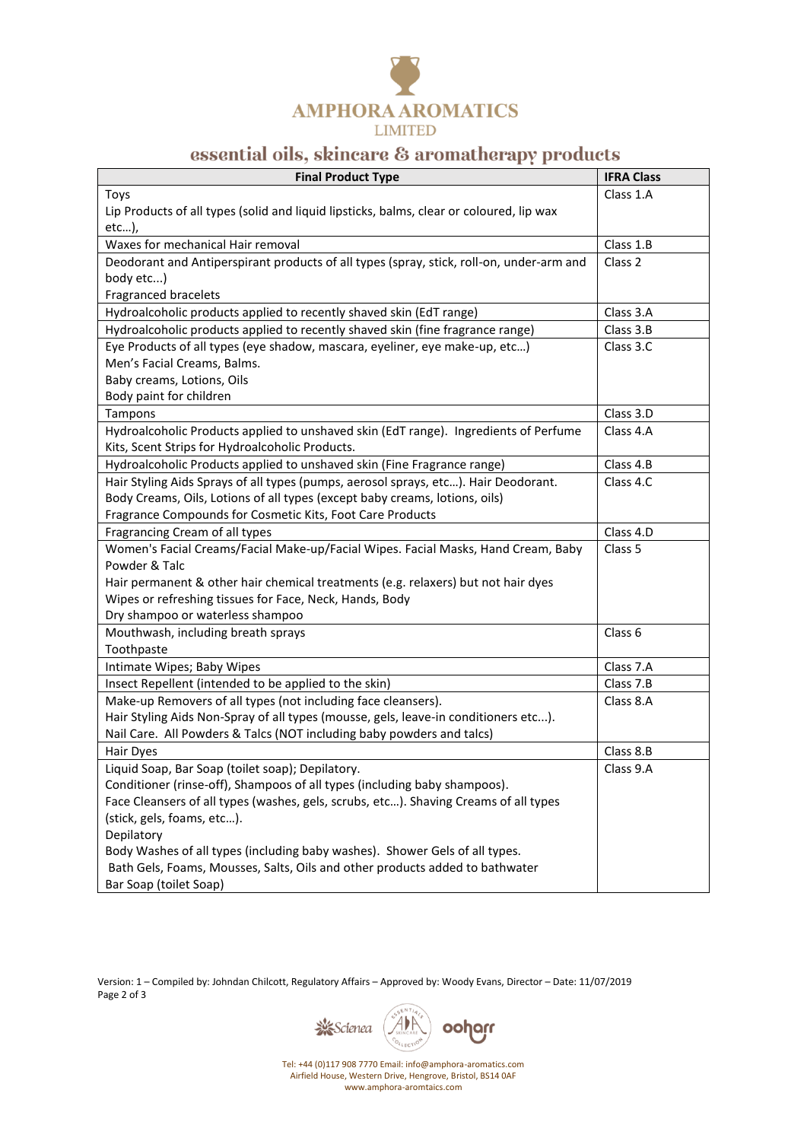

## essential oils, skincare & aromatherapy products

| <b>Final Product Type</b>                                                                | <b>IFRA Class</b>  |
|------------------------------------------------------------------------------------------|--------------------|
| Toys                                                                                     | Class 1.A          |
| Lip Products of all types (solid and liquid lipsticks, balms, clear or coloured, lip wax |                    |
| etc),                                                                                    |                    |
| Waxes for mechanical Hair removal                                                        | Class 1.B          |
| Deodorant and Antiperspirant products of all types (spray, stick, roll-on, under-arm and | Class 2            |
| body etc)                                                                                |                    |
| Fragranced bracelets                                                                     |                    |
| Hydroalcoholic products applied to recently shaved skin (EdT range)                      | Class 3.A          |
| Hydroalcoholic products applied to recently shaved skin (fine fragrance range)           | Class 3.B          |
| Eye Products of all types (eye shadow, mascara, eyeliner, eye make-up, etc)              | Class 3.C          |
| Men's Facial Creams, Balms.                                                              |                    |
| Baby creams, Lotions, Oils                                                               |                    |
| Body paint for children                                                                  |                    |
| Tampons                                                                                  | Class 3.D          |
| Hydroalcoholic Products applied to unshaved skin (EdT range). Ingredients of Perfume     | Class 4.A          |
| Kits, Scent Strips for Hydroalcoholic Products.                                          |                    |
| Hydroalcoholic Products applied to unshaved skin (Fine Fragrance range)                  | Class 4.B          |
| Hair Styling Aids Sprays of all types (pumps, aerosol sprays, etc). Hair Deodorant.      | Class 4.C          |
| Body Creams, Oils, Lotions of all types (except baby creams, lotions, oils)              |                    |
| Fragrance Compounds for Cosmetic Kits, Foot Care Products                                |                    |
| Fragrancing Cream of all types                                                           | Class 4.D          |
| Women's Facial Creams/Facial Make-up/Facial Wipes. Facial Masks, Hand Cream, Baby        | Class <sub>5</sub> |
| Powder & Talc                                                                            |                    |
| Hair permanent & other hair chemical treatments (e.g. relaxers) but not hair dyes        |                    |
| Wipes or refreshing tissues for Face, Neck, Hands, Body                                  |                    |
| Dry shampoo or waterless shampoo                                                         |                    |
| Mouthwash, including breath sprays                                                       | Class 6            |
| Toothpaste                                                                               |                    |
| Intimate Wipes; Baby Wipes                                                               | Class 7.A          |
| Insect Repellent (intended to be applied to the skin)                                    | Class 7.B          |
| Make-up Removers of all types (not including face cleansers).                            | Class 8.A          |
| Hair Styling Aids Non-Spray of all types (mousse, gels, leave-in conditioners etc).      |                    |
| Nail Care. All Powders & Talcs (NOT including baby powders and talcs)                    |                    |
| Hair Dyes                                                                                | Class 8.B          |
| Liquid Soap, Bar Soap (toilet soap); Depilatory.                                         | Class 9.A          |
| Conditioner (rinse-off), Shampoos of all types (including baby shampoos).                |                    |
| Face Cleansers of all types (washes, gels, scrubs, etc). Shaving Creams of all types     |                    |
| (stick, gels, foams, etc).                                                               |                    |
| Depilatory                                                                               |                    |
| Body Washes of all types (including baby washes). Shower Gels of all types.              |                    |
| Bath Gels, Foams, Mousses, Salts, Oils and other products added to bathwater             |                    |
| Bar Soap (toilet Soap)                                                                   |                    |

Version: 1 – Compiled by: Johndan Chilcott, Regulatory Affairs – Approved by: Woody Evans, Director – Date: 11/07/2019 Page 2 of 3



Tel: +44 (0)117 908 7770 Email: info@amphora-aromatics.com Airfield House, Western Drive, Hengrove, Bristol, BS14 0AF www.amphora-aromtaics.com